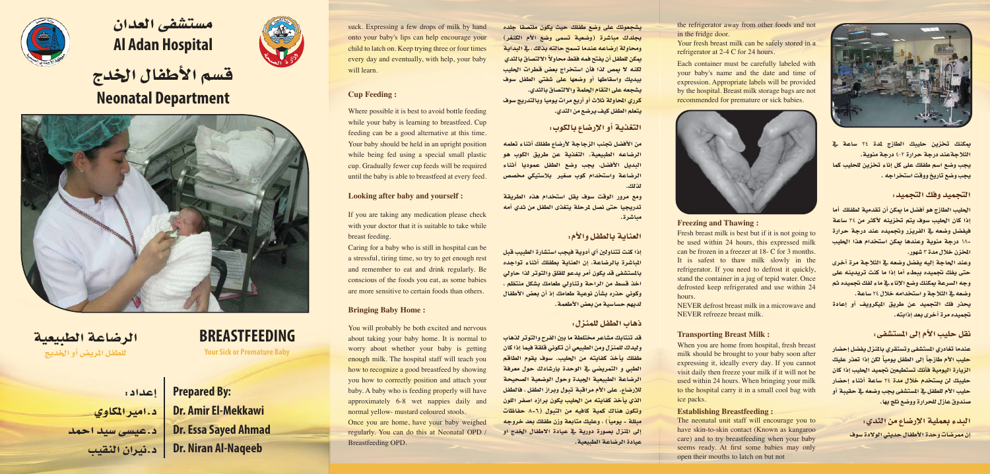

## مستشفى العدان **Al Adan Hospital**



# قسم الأطفال الخدج **Neonatal Department**



الرضاعة الطبيعية للطفل المريض أو الخديج

# **BREASTFEEDING**

**Your Sick or Premature Baby** 

إعداده د.اميرالمكاوي د.عیسی سید احمد د.نيران النقيب

## **Prepared By:** Dr. Amir El-Mekkawi **Dr. Essa Sayed Ahmad Dr. Niran Al-Nageeb**

suck. Expressing a few drops of milk by hand onto your baby's lips can help encourage your child to latch on. Keep trying three or four times every day and eventually, with help, your baby will learn.

## **Cup Feeding:**

Where possible it is best to avoid bottle feeding while your baby is learning to breastfeed. Cup feeding can be a good alternative at this time. Your baby should be held in an upright position while being fed using a special small plastic cup. Gradually fewer cup feeds will be required until the baby is able to breastfeed at every feed.

## **Looking after baby and yourself:**

If you are taking any medication please check with your doctor that it is suitable to take while breast feeding.

Caring for a baby who is still in hospital can be a stressful, tiring time, so try to get enough rest and remember to eat and drink regularly. Be conscious of the foods you eat, as some babies are more sensitive to certain foods than others.

## **Bringing Baby Home:**

You will probably be both excited and nervous about taking your baby home. It is normal to worry about whether your baby is getting enough milk. The hospital staff will teach you how to recognize a good breastfeed by showing you how to correctly position and attach your baby. A baby who is feeding properly will have approximately 6-8 wet nappies daily and normal yellow- mustard coloured stools.

Once you are home, have your baby weighed regularly. You can do this at Neonatal OPD / Breastfeeding OPD.

يشجعونك على وضع طفلك حيث يكون ملتصقا جلده بجلدك مباشرة (وضعية تسمى وضع الأم الكنغر) ومحاولة إرضاعه عندما تسمح حالته بذلك، في البداية يمكن للطفل أن يفتح فمه فقط محاولاً الالتصاق بالثدي لكنه لا يمص لذا فأن استخراج بعض قطرات الحليب بيديك واسقاطها أو وضعها على شفتي الطفل سوف يشجعه على التقام الحلمة والالتصاق بالثدي. كرري المحاولة ثلاث أو أربع مرات يوميا وبالتدريج سوف يتعلم الطفل كيف يرضع من الثدي.

## التغذية أو الإرضاع بالكوب:

من الأفضل نجنب الزجاجة لأرضاع طفلك أثناء تعلمه الرضاعه الطبيعية. التغذية عن طريق الكوب هو البديل الأفضل، يجب وضع الطفل عموديا أثناء الرضاعة واستخدام كوب صغير بلاستيكي مخصص

ومع مرور الوقت سوف يقل استخدام هذه الطريقة تدريجيا حتى نصل لمرحلة يتغذى الطفل من ثدي أمه مباشرة.

## العناية بالطفل والأم:

إذا كنت تتناولين أي أدوية فيجب استشارة الطبيب قبل الماشرة بالرضاعة، إن العناية بطفلك أثناء تواجده بالمستشفى قد يكون أمر يدعو للقلق والتوتر لذا حاولي اخذ قسط من الراحة وتناولي طعامك بشكل منتظم ، وكوني حذره بشأن نوعية طعامك إذ أن بعض الأطفال لديهم حساسية من بعض الأطعمة.

## ذهاب الطفل للمنزل:

قد تنتابك مشاعر مختلطة ما بين الفرح والتوتر لذهاب وليدك للمنزل ومن الطبيعي أن تكوني قلقة فيما إذا كان طفلك يأخذ كفايته من الحليب. سوف يقوم الطاقم الطبي و التمريضي في الوحدة بإرشادك حول معرفة الرضاعة الطبيعية الجيدة وحول الوضعية الصحيحة للإرضاع. على الأم مراقبة تبول وبراز الطفل ، فالطفل الذي يأخذ كفايته من الحليب يكون برازه اصفر اللون وتكون هناك كمية كافيه من التبول (٦-٨ حفاظات مبللة - يومياً) ، وعليك متابعة وزن طفلك بعد خروجه إلى المنزل بصورة دورية في عيادة الأطفال الخدج او عيادة الرضاعة الطبيعية. the refrigerator away from other foods and not in the fridge door.

Your fresh breast milk can be safely stored in a refrigerator at 2-4 C for 24 hours.

Each container must be carefully labeled with your baby's name and the date and time of expression. Appropriate labels will be provided by the hospital. Breast milk storage bags are not recommended for premature or sick babies.



#### **Freezing and Thawing:**

Fresh breast milk is best but if it is not going to be used within 24 hours, this expressed milk can be frozen in a freezer at 18- C for 3 months. It is safest to thaw milk slowly in the refrigerator. If you need to defrost it quickly, stand the container in a jug of tepid water. Once defrosted keep refrigerated and use within 24 hours

NEVER defrost breast milk in a microwave and NEVER refreeze breast milk.

#### **Transporting Breast Milk:**

When you are home from hospital, fresh breast milk should be brought to your baby soon after expressing it, ideally every day. If you cannot visit daily then freeze your milk if it will not be used within 24 hours. When bringing your milk to the hospital carry it in a small cool bag with ice packs.

#### **Establishing Breastfeeding:**

The neonatal unit staff will encourage you to have skin-to-skin contact (Known as kangaroo care) and to try breastfeeding when your baby seems ready. At first some babies may only open their mouths to latch on but not



يمكنك تخزين حليبك الطازج لمدة ٢٤ ساعة في الثلاجةعند درجة حرارة ٢-٤ درجة مئوية. يجب وضع اسم طفلك على كل إناء تخزين للحليب كما يجب وضع تاريخ ووقت استخراجه .

#### التجميد وفك التجميد :

الحليب الطازج هو أفضل ما يمكن أن تقدمية لطفلك أما إذا كان الحليب سوف يتم تخزينه لأكثر من ٢٤ ساعة فيفضل وضعه ية الفريزر وتجميده عند درجة حرارة -١٨ درجة مئوية وعندها يمكن استخدام هذا الحليب المخزن خلال مدة ۳ شهور.

وعند الحاجة إليه يفضل وضعه في الثلاجة مرة أخرى حتى يفك تجميده ببطء أما إذا ما كنت تريدينه على وجه السرعة يمكنك وضع الإناء في ماء لفك تجميده ثم وضعه في الثلاجة و استخدامه خلال ٢٤ ساعة. يحذر فك التجميد عن طريق الميكرويف أو إعادة تجميده مرة أخرى بعد إذابته.

## نقل حليب الأم إلى المستشفى:

عندما تغادري المستشفى وتستقري بالمنزل يفضل إحضار حليب الأم طازجاً إلى الطفل يومياً لكن إذا تعذر عليك الزيارة اليومية فأنك تستطيعين تجميد الحليب إذا كان حليبك لن يستخدم خلال مدة ٢٤ ساعة أثناء إحضار حليب الأم للطفل في المستشفى يجب وضعه في حقيبة أو صندوق عازل للحرارة ووضع ثلج بها.

> البدء بعملية الإرضاع من الثدي: إن ممرضات وحدة الأطفال حديثي الولادة سوف